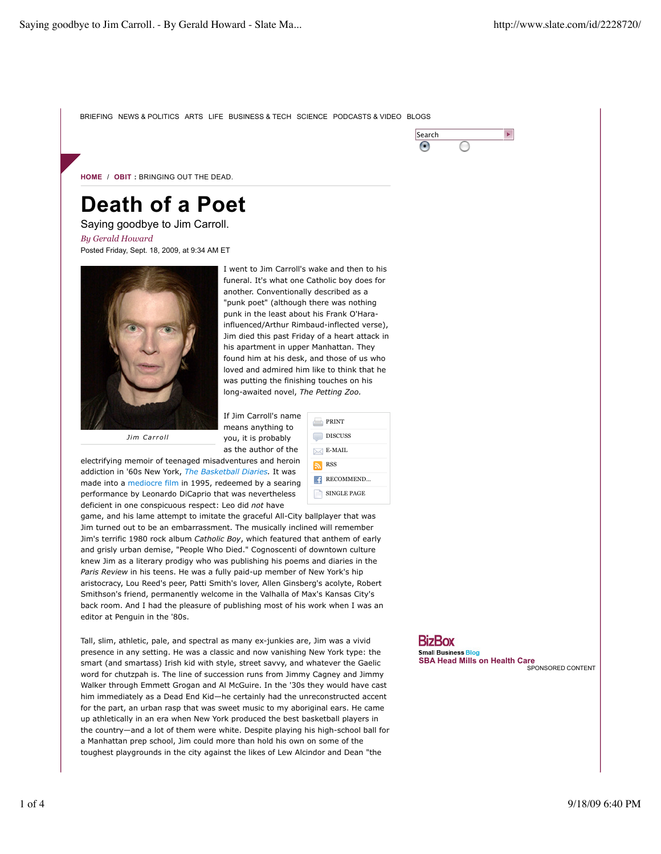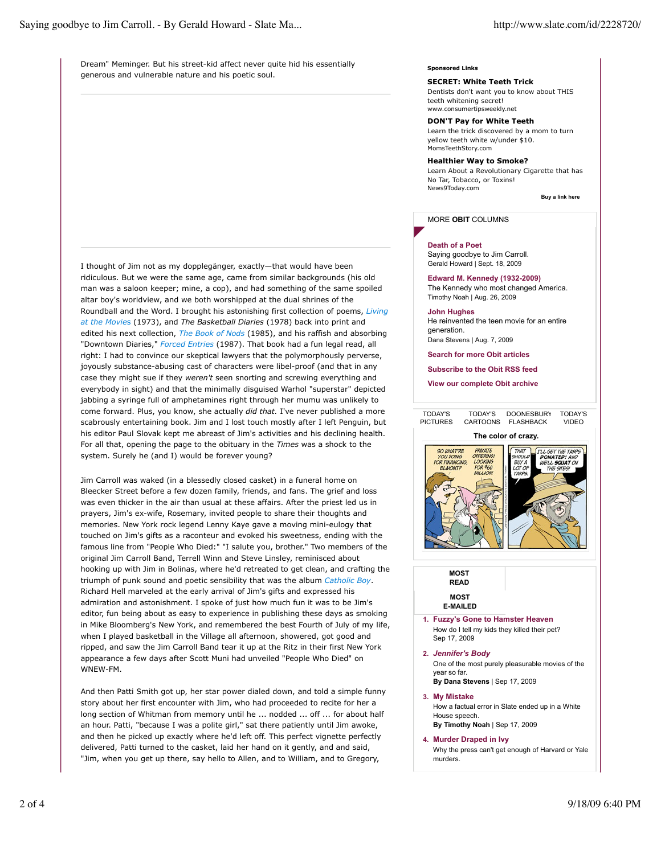Dream" Meminger. But his street-kid affect never quite hid his essentially generous and vulnerable nature and his poetic soul.

I thought of Jim not as my dopplegänger, exactly—that would have been ridiculous. But we were the same age, came from similar backgrounds (his old man was a saloon keeper; mine, a cop), and had something of the same spoiled

#### **Sponsored Links**

### **SECRET: White Teeth Trick**

Dentists don't want you to know about THIS teeth whitening secret! www.consumertipsweekly.net

**DON'T Pay for White Teeth** Learn the trick discovered by a mom to turn yellow teeth white w/under \$10. MomsTeethStory.com

#### **Healthier Way to Smoke?**

Learn About a Revolutionary Cigarette that has No Tar, Tobacco, or Toxins! News9Today.com

### **Buy a link here**

# MORE **OBIT** COLUMNS

### **Death of a Poet**

Saying goodbye to Jim Carroll. Gerald Howard | Sept. 18, 2009

**Edward M. Kennedy (1932-2009)**

The Kennedy who most changed America. Timothy Noah | Aug. 26, 2009

## **John Hughes**

He reinvented the teen movie for an entire generation. Dana Stevens | Aug. 7, 2009

**Search for more Obit articles**

**Subscribe to the Obit RSS feed**

**View our complete Obit archive**



**MOST READ MOST**

**E-MAILED**

**Fuzzy's Gone to Hamster Heaven 1.** How do I tell my kids they killed their pet? Sep 17, 2009

*Jennifer's Body* **2.** One of the most purely pleasurable movies of the year so far. **By Dana Stevens** | Sep 17, 2009

**My Mistake 3.**

How a factual error in Slate ended up in a White House speech. **By Timothy Noah** | Sep 17, 2009

**Murder Draped in Ivy 4.** Why the press can't get enough of Harvard or Yale murders.

altar boy's worldview, and we both worshipped at the dual shrines of the Roundball and the Word. I brought his astonishing first collection of poems, *Living at the Movie*s (1973), and *The Basketball Diaries* (1978) back into print and edited his next collection, *The Book of Nods* (1985), and his raffish and absorbing "Downtown Diaries," *Forced Entries* (1987). That book had a fun legal read, all right: I had to convince our skeptical lawyers that the polymorphously perverse, joyously substance-abusing cast of characters were libel-proof (and that in any case they might sue if they *weren't* seen snorting and screwing everything and everybody in sight) and that the minimally disguised Warhol "superstar" depicted jabbing a syringe full of amphetamines right through her mumu was unlikely to come forward. Plus, you know, she actually *did that.* I've never published a more scabrously entertaining book. Jim and I lost touch mostly after I left Penguin, but his editor Paul Slovak kept me abreast of Jim's activities and his declining health. For all that, opening the page to the obituary in the *Times* was a shock to the system. Surely he (and I) would be forever young? Jim Carroll was waked (in a blessedly closed casket) in a funeral home on Bleecker Street before a few dozen family, friends, and fans. The grief and loss was even thicker in the air than usual at these affairs. After the priest led us in

prayers, Jim's ex-wife, Rosemary, invited people to share their thoughts and memories. New York rock legend Lenny Kaye gave a moving mini-eulogy that touched on Jim's gifts as a raconteur and evoked his sweetness, ending with the famous line from "People Who Died:" "I salute you, brother." Two members of the original Jim Carroll Band, Terrell Winn and Steve Linsley, reminisced about hooking up with Jim in Bolinas, where he'd retreated to get clean, and crafting the triumph of punk sound and poetic sensibility that was the album *Catholic Boy*. Richard Hell marveled at the early arrival of Jim's gifts and expressed his admiration and astonishment. I spoke of just how much fun it was to be Jim's editor, fun being about as easy to experience in publishing these days as smoking in Mike Bloomberg's New York, and remembered the best Fourth of July of my life, when I played basketball in the Village all afternoon, showered, got good and ripped, and saw the Jim Carroll Band tear it up at the Ritz in their first New York appearance a few days after Scott Muni had unveiled "People Who Died" on WNEW-FM.

And then Patti Smith got up, her star power dialed down, and told a simple funny story about her first encounter with Jim, who had proceeded to recite for her a long section of Whitman from memory until he ... nodded ... off ... for about half an hour. Patti, "because I was a polite girl," sat there patiently until Jim awoke, and then he picked up exactly where he'd left off. This perfect vignette perfectly delivered, Patti turned to the casket, laid her hand on it gently, and and said, "Jim, when you get up there, say hello to Allen, and to William, and to Gregory,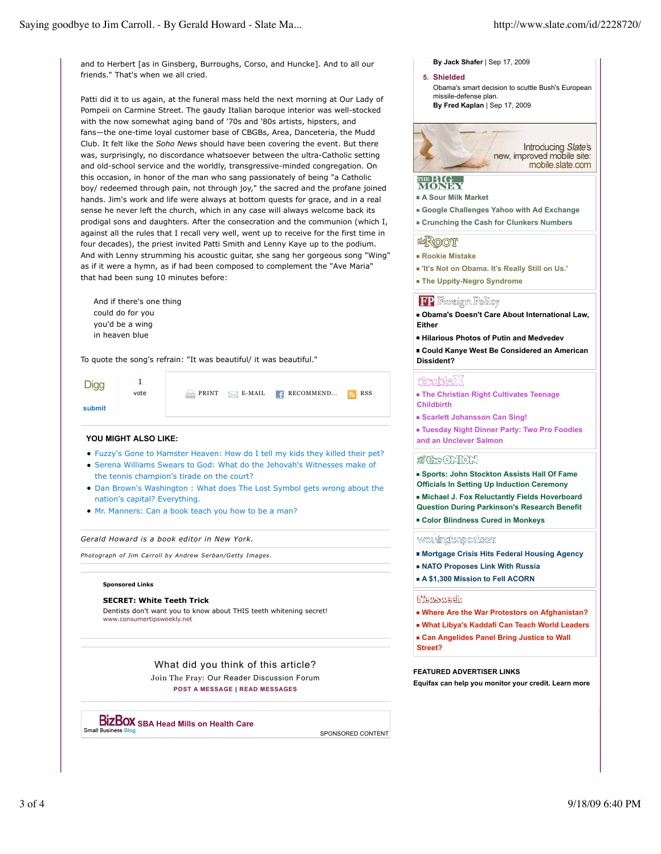and to Herbert [as in Ginsberg, Burroughs, Corso, and Huncke]. And to all our friends." That's when we all cried.

Patti did it to us again, at the funeral mass held the next morning at Our Lady of Pompeii on Carmine Street. The gaudy Italian baroque interior was well-stocked with the now somewhat aging band of '70s and '80s artists, hipsters, and fans—the one-time loyal customer base of CBGBs, Area, Danceteria, the Mudd Club. It felt like the *Soho News* should have been covering the event. But there was, surprisingly, no discordance whatsoever between the ultra-Catholic setting and old-school service and the worldly, transgressive-minded congregation. On this occasion, in honor of the man who sang passionately of being "a Catholic boy/ redeemed through pain, not through joy," the sacred and the profane joined hands. Jim's work and life were always at bottom quests for grace, and in a real sense he never left the church, which in any case will always welcome back its prodigal sons and daughters. After the consecration and the communion (which I, against all the rules that I recall very well, went up to receive for the first time in four decades), the priest invited Patti Smith and Lenny Kaye up to the podium. And with Lenny strumming his acoustic guitar, she sang her gorgeous song "Wing" as if it were a hymn, as if had been composed to complement the "Ave Maria" that had been sung 10 minutes before:

And if there's one thing could do for you you'd be a wing in heaven blue

To quote the song's refrain: "It was beautiful/ it was beautiful."



### **YOU MIGHT ALSO LIKE:**

Fuzzy's Gone to Hamster Heaven: How do I tell my kids they killed their pet?

- Serena Williams Swears to God: What do the Jehovah's Witnesses make of the tennis champion's tirade on the court?
- Dan Brown's Washington : What does The Lost Symbol gets wrong about the nation's capital? Everything.
- Mr. Manners: Can a book teach you how to be a man?

*Gerald Howard is a book editor in New York.*

*Photograph of Jim Carroll by Andrew Serban/Getty Images.*

#### **Sponsored Links**

#### **SECRET: White Teeth Trick**

Dentists don't want you to know about THIS teeth whitening secret! www.consumertipsweekly.net

> What did you think of this article? Join The Fray: Our Reader Discussion Forum

**POST A MESSAGE | READ MESSAGES**

**BizBOX** SBA Head Mills on Health Care Small Business Blog

SPONSORED CONTENT

#### **By Jack Shafer** | Sep 17, 2009

**Shielded 5.** Obama's smart decision to scuttle Bush's European missile-defense plan. **By Fred Kaplan** | Sep 17, 2009



# ™BIG<br>MONDY

**A Sour Milk Market**

**Google Challenges Yahoo with Ad Exchange Crunching the Cash for Clunkers Numbers**

## **MAROOT**

**Rookie Mistake**

- **'It's Not on Obama. It's Really Still on Us.'**
- **The Uppity-Negro Syndrome**

# **FP** Foreign Policy

**Obama's Doesn't Care About International Law, Either**

**Hilarious Photos of Putin and Medvedev**

**Could Kanye West Be Considered an American Dissident?**

# <del>double X</del>

**The Christian Right Cultivates Teenage Childbirth**

**Scarlett Johansson Can Sing!**

**Tuesday Night Dinner Party: Two Pro Foodies and an Unclever Salmon**

### **StirCNICN**

**Sports: John Stockton Assists Hall Of Fame Officials In Setting Up Induction Ceremony**

**Michael J. Fox Reluctantly Fields Hoverboard Question During Parkinson's Research Benefit Color Blindness Cured in Monkeys**

# washingtonpost.com

**Mortgage Crisis Hits Federal Housing Agency**

- **NATO Proposes Link With Russia**
- **A \$1,300 Mission to Fell ACORN**

## Neusuedk

**Where Are the War Protestors on Afghanistan?**

- **What Libya's Kaddafi Can Teach World Leaders**
- **Can Angelides Panel Bring Justice to Wall Street?**

**FEATURED ADVERTISER LINKS Equifax can help you monitor your credit. Learn more**